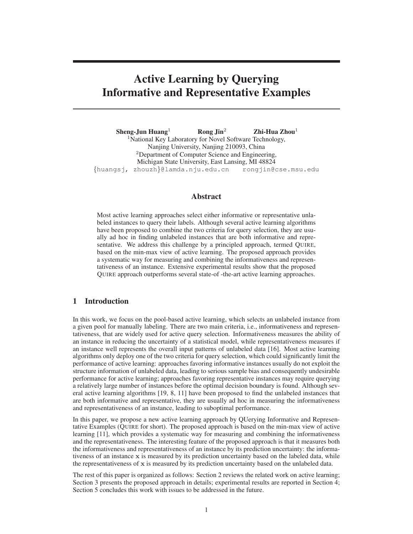# **Active Learning by Querying Informative and Representative Examples**

**Sheng-Jun Huang**<sup>1</sup> **Rong Jin**<sup>2</sup> **Zhi-Hua Zhou**<sup>1</sup> <sup>1</sup>National Key Laboratory for Novel Software Technology, Nanjing University, Nanjing 210093, China <sup>2</sup>Department of Computer Science and Engineering, Michigan State University, East Lansing, MI 48824 {huangsj, zhouzh}@lamda.nju.edu.cn rongjin@cse.msu.edu

# **Abstract**

Most active learning approaches select either informative or representative unlabeled instances to query their labels. Although several active learning algorithms have been proposed to combine the two criteria for query selection, they are usually ad hoc in finding unlabeled instances that are both informative and representative. We address this challenge by a principled approach, termed QUIRE, based on the min-max view of active learning. The proposed approach provides a systematic way for measuring and combining the informativeness and representativeness of an instance. Extensive experimental results show that the proposed QUIRE approach outperforms several state-of -the-art active learning approaches.

# **1 Introduction**

In this work, we focus on the pool-based active learning, which selects an unlabeled instance from a given pool for manually labeling. There are two main criteria, i.e., informativeness and representativeness, that are widely used for active query selection. Informativeness measures the ability of an instance in reducing the uncertainty of a statistical model, while representativeness measures if an instance well represents the overall input patterns of unlabeled data [16]. Most active learning algorithms only deploy one of the two criteria for query selection, which could significantly limit the performance of active learning: approaches favoring informative instances usually do not exploit the structure information of unlabeled data, leading to serious sample bias and consequently undesirable performance for active learning; approaches favoring representative instances may require querying a relatively large number of instances before the optimal decision boundary is found. Although several active learning algorithms [19, 8, 11] have been proposed to find the unlabeled instances that are both informative and representative, they are usually ad hoc in measuring the informativeness and representativeness of an instance, leading to suboptimal performance.

In this paper, we propose a new active learning approach by QUerying Informative and Representative Examples (QUIRE for short). The proposed approach is based on the min-max view of active learning [11], which provides a systematic way for measuring and combining the informativeness and the representativeness. The interesting feature of the proposed approach is that it measures both the informativeness and representativeness of an instance by its prediction uncertainty: the informativeness of an instance x is measured by its prediction uncertainty based on the labeled data, while the representativeness of  $x$  is measured by its prediction uncertainty based on the unlabeled data.

The rest of this paper is organized as follows: Section 2 reviews the related work on active learning; Section 3 presents the proposed approach in details; experimental results are reported in Section 4; Section 5 concludes this work with issues to be addressed in the future.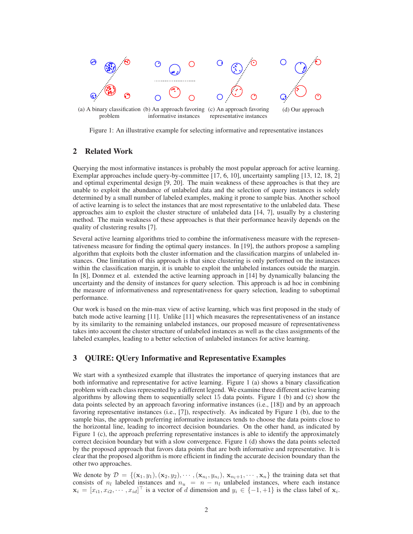

Figure 1: An illustrative example for selecting informative and representative instances

representative instances

informative instances

# **2 Related Work**

problem

Querying the most informative instances is probably the most popular approach for active learning. Exemplar approaches include query-by-committee [17, 6, 10], uncertainty sampling [13, 12, 18, 2] and optimal experimental design [9, 20]. The main weakness of these approaches is that they are unable to exploit the abundance of unlabeled data and the selection of query instances is solely determined by a small number of labeled examples, making it prone to sample bias. Another school of active learning is to select the instances that are most representative to the unlabeled data. These approaches aim to exploit the cluster structure of unlabeled data [14, 7], usually by a clustering method. The main weakness of these approaches is that their performance heavily depends on the quality of clustering results [7].

Several active learning algorithms tried to combine the informativeness measure with the representativeness measure for finding the optimal query instances. In [19], the authors propose a sampling algorithm that exploits both the cluster information and the classification margins of unlabeled instances. One limitation of this approach is that since clustering is only performed on the instances within the classification margin, it is unable to exploit the unlabeled instances outside the margin. In [8], Donmez et al. extended the active learning approach in [14] by dynamically balancing the uncertainty and the density of instances for query selection. This approach is ad hoc in combining the measure of informativeness and representativeness for query selection, leading to suboptimal performance.

Our work is based on the min-max view of active learning, which was first proposed in the study of batch mode active learning [11]. Unlike [11] which measures the representativeness of an instance by its similarity to the remaining unlabeled instances, our proposed measure of representativeness takes into account the cluster structure of unlabeled instances as well as the class assignments of the labeled examples, leading to a better selection of unlabeled instances for active learning.

# **3 QUIRE: QUery Informative and Representative Examples**

We start with a synthesized example that illustrates the importance of querying instances that are both informative and representative for active learning. Figure 1 (a) shows a binary classification problem with each class represented by a different legend. We examine three different active learning algorithms by allowing them to sequentially select 15 data points. Figure 1 (b) and (c) show the data points selected by an approach favoring informative instances (i.e., [18]) and by an approach favoring representative instances (i.e., [7]), respectively. As indicated by Figure 1 (b), due to the sample bias, the approach preferring informative instances tends to choose the data points close to the horizontal line, leading to incorrect decision boundaries. On the other hand, as indicated by Figure 1 (c), the approach preferring representative instances is able to identify the approximately correct decision boundary but with a slow convergence. Figure 1 (d) shows the data points selected by the proposed approach that favors data points that are both informative and representative. It is clear that the proposed algorithm is more efficient in finding the accurate decision boundary than the other two approaches.

We denote by  $\mathcal{D} = \{(\mathbf{x}_1, y_1), (\mathbf{x}_2, y_2), \cdots, (\mathbf{x}_{n_l}, y_{n_l}), \mathbf{x}_{n_l+1}, \cdots, \mathbf{x}_n\}$  the training data set that consists of  $n_l$  labeled instances and  $n_u = n - n_l$  unlabeled instances, where each instance  $\mathbf{x}_i = [x_{i1}, x_{i2}, \cdots, x_{id}]^\top$  is a vector of d dimension and  $y_i \in \{-1, +1\}$  is the class label of  $\mathbf{x}_i$ .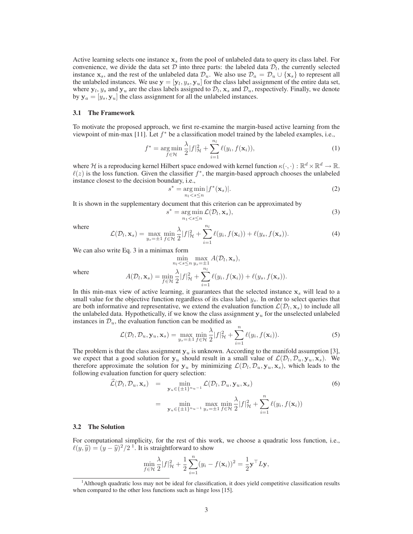Active learning selects one instance  $x_s$  from the pool of unlabeled data to query its class label. For convenience, we divide the data set  $D$  into three parts: the labeled data  $D_l$ , the currently selected instance  $x_s$ , and the rest of the unlabeled data  $\mathcal{D}_u$ . We also use  $\mathcal{D}_a = \mathcal{D}_u \cup \{x_s\}$  to represent all the unlabeled instances. We use  $y = [y_l, y_s, y_u]$  for the class label assignment of the entire data set, where  $y_l$ ,  $y_s$  and  $y_u$  are the class labels assigned to  $\mathcal{D}_l$ ,  $x_s$  and  $\mathcal{D}_u$ , respectively. Finally, we denote by  $y_a = [y_s, y_u]$  the class assignment for all the unlabeled instances.

#### **3.1 The Framework**

To motivate the proposed approach, we first re-examine the margin-based active learning from the viewpoint of min-max [11]. Let  $f^*$  be a classification model trained by the labeled examples, i.e.,

$$
f^* = \underset{f \in \mathcal{H}}{\arg \min} \frac{\lambda}{2} |f|_{\mathcal{H}}^2 + \sum_{i=1}^{n_l} \ell(y_i, f(\mathbf{x}_i)), \tag{1}
$$

where H is a reproducing kernel Hilbert space endowed with kernel function  $\kappa(\cdot, \cdot) : \mathbb{R}^d \times \mathbb{R}^d \to \mathbb{R}$ .  $\ell(z)$  is the loss function. Given the classifier  $f^*$ , the margin-based approach chooses the unlabeled instance closest to the decision boundary, i.e.,

$$
s^* = \underset{n_l < s \le n}{\arg \min} |f^*(\mathbf{x}_s)|. \tag{2}
$$

It is shown in the supplementary document that this criterion can be approximated by

s

$$
^* = \underset{n_1 < s \le n}{\arg \min} \mathcal{L}(\mathcal{D}_l, \mathbf{x}_s),\tag{3}
$$

where

$$
\mathcal{L}(\mathcal{D}_l, \mathbf{x}_s) = \max_{y_s = \pm 1} \min_{f \in \mathcal{H}} \frac{\lambda}{2} |f|_{\mathcal{H}}^2 + \sum_{i=1}^{n_l} \ell(y_i, f(\mathbf{x}_i)) + \ell(y_s, f(\mathbf{x}_s)).
$$
\n(4)

We can also write Eq. 3 in a minimax form

$$
\min_{n_l < s \le n} \max_{y_s = \pm 1} A(\mathcal{D}_l, \mathbf{x}_s),
$$

where

$$
A(\mathcal{D}_l, \mathbf{x}_s) = \min_{f \in \mathcal{H}} \frac{\lambda}{2} |f|_{\mathcal{H}}^2 + \sum_{i=1}^{n_l} \ell(y_i, f(\mathbf{x}_i)) + \ell(y_s, f(\mathbf{x}_s)).
$$

In this min-max view of active learning, it guarantees that the selected instance  $x_s$  will lead to a small value for the objective function regardless of its class label  $y_s$ . In order to select queries that are both informative and representative, we extend the evaluation function  $\mathcal{L}(\mathcal{D}_l, \mathbf{x}_s)$  to include all the unlabeled data. Hypothetically, if we know the class assignment  $y_u$  for the unselected unlabeled instances in  $\mathcal{D}_u$ , the evaluation function can be modified as

$$
\mathcal{L}(\mathcal{D}_l, \mathcal{D}_u, \mathbf{y}_u, \mathbf{x}_s) = \max_{y_s = \pm 1} \min_{f \in \mathcal{H}} \frac{\lambda}{2} |f|_{\mathcal{H}}^2 + \sum_{i=1}^n \ell(y_i, f(\mathbf{x}_i)).
$$
\n(5)

The problem is that the class assignment  $y_u$  is unknown. According to the manifold assumption [3], we expect that a good solution for  $y_u$  should result in a small value of  $\mathcal{L}(\mathcal{D}_l, \mathcal{D}_u, y_u, \mathbf{x}_s)$ . We therefore approximate the solution for  $y_u$  by minimizing  $\mathcal{L}(\mathcal{D}_l, \mathcal{D}_u, y_u, x_s)$ , which leads to the following evaluation function for query selection:

$$
\hat{\mathcal{L}}(\mathcal{D}_l, \mathcal{D}_u, \mathbf{x}_s) = \min_{\mathbf{y}_u \in \{\pm 1\}^{n_u - 1}} \mathcal{L}(\mathcal{D}_l, \mathcal{D}_u, \mathbf{y}_u, \mathbf{x}_s)
$$
\n
$$
= \min_{\mathbf{y}_u \in \{\pm 1\}^{n_u - 1}} \max_{y_s = \pm 1} \min_{f \in \mathcal{H}} \frac{\lambda}{2} |f|_{\mathcal{H}}^2 + \sum_{i=1}^n \ell(y_i, f(\mathbf{x}_i))
$$
\n(6)

## **3.2 The Solution**

For computational simplicity, for the rest of this work, we choose a quadratic loss function, i.e.,  $\ell(y, \hat{y}) = (y - \hat{y})^2/2^{1}$ . It is straightforward to show

$$
\min_{f \in \mathcal{H}} \frac{\lambda}{2} |f|_{\mathcal{H}}^2 + \frac{1}{2} \sum_{i=1}^n (y_i - f(\mathbf{x}_i))^2 = \frac{1}{2} \mathbf{y}^\top L \mathbf{y},
$$

<sup>1</sup>Although quadratic loss may not be ideal for classification, it does yield competitive classification results when compared to the other loss functions such as hinge loss [15].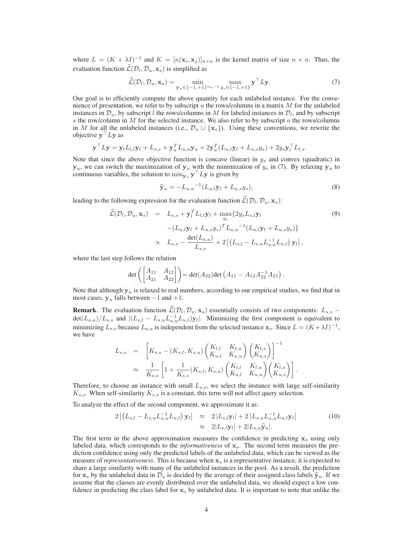where  $L = (K + \lambda I)^{-1}$  and  $K = [\kappa(\mathbf{x}_i, \mathbf{x}_j)]_{n \times n}$  is the kernel matrix of size  $n \times n$ . Thus, the evaluation function  $\mathcal{L}(\mathcal{D}_l, \mathcal{D}_u, \mathbf{x}_s)$  is simplified as

$$
\widehat{\mathcal{L}}(\mathcal{D}_l, \mathcal{D}_u, \mathbf{x}_s) = \min_{\mathbf{y}_u \in \{-1, +1\}^{n_u - 1}} \max_{y_s \in \{-1, +1\}} \mathbf{y}^\top L \mathbf{y}.\tag{7}
$$

Our goal is to efficiently compute the above quantity for each unlabeled instance. For the convenience of presentation, we refer to by subscript u the rows/columns in a matrix  $M$  for the unlabeled instances in  $\mathcal{D}_u$ , by subscript l the rows/columns in M for labeled instances in  $\mathcal{D}_l$ , and by subscript s the row/column in  $M$  for the selected instance. We also refer to by subscript  $\alpha$  the rows/columns in M for all the unlabeled instances (i.e.,  $\mathcal{D}_u \cup \{x_s\}$ ). Using these conventions, we rewrite the objective  $\mathbf{y}^\top L \mathbf{y}$  as

$$
\mathbf{y}^{\top} L \mathbf{y} = \mathbf{y}_l L_{l,l} \mathbf{y}_l + L_{s,s} + \mathbf{y}_u^T L_{u,u} \mathbf{y}_u + 2 \mathbf{y}_u^T (L_{u,l} \mathbf{y}_l + L_{u,s} y_s) + 2 y_s \mathbf{y}_l^{\top} L_{l,s}.
$$

Note that since the above objective function is concave (linear) in  $y_s$  and convex (quadratic) in  $y_u$ , we can switch the maximization of  $y_u$  with the minimization of  $y_s$  in (7). By relaxing  $y_u$  to continuous variables, the solution to  $\min_{\mathbf{y}_u} \mathbf{y}^\top L \mathbf{y}$  is given by

$$
\widehat{\mathbf{y}}_u = -L_{u,u}^{-1} (L_{u,l}\mathbf{y}_l + L_{u,s}y_s), \tag{8}
$$

leading to the following expression for the evaluation function  $\mathcal{L}(\mathcal{D}_l, \mathcal{D}_u, \mathbf{x}_s)$ :

$$
\hat{\mathcal{L}}(\mathcal{D}_{l}, \mathcal{D}_{u}, \mathbf{x}_{s}) = L_{s,s} + \mathbf{y}_{l}^{T} L_{l,l} \mathbf{y}_{l} + \max_{y_{s}} \{ 2y_{s} L_{s,l} \mathbf{y}_{l} - (L_{u,l} \mathbf{y}_{l} + L_{u,s} y_{s})^{T} L_{u,u}^{-1} (L_{u,l} \mathbf{y}_{l} + L_{u,s} y_{s}) \} \times L_{s,s} - \frac{\det(L_{a,a})}{L_{s,s}} + 2 |(L_{s,l} - L_{s,u} L_{u,u}^{-1} L_{u,l}) \mathbf{y}_{l}|,
$$
\n(9)

where the last step follows the relation

$$
\det\left(\begin{bmatrix} A_{11} & A_{12} \\ A_{21} & A_{22} \end{bmatrix}\right) = \det(A_{22}) \det\left(A_{11} - A_{12}A_{22}^{-1}A_{21}\right).
$$

Note that although  $y_u$  is relaxed to real numbers, according to our empirical studies, we find that in most cases,  $y_u$  falls between  $-1$  and  $+1$ .

**Remark**. The evaluation function  $\mathcal{L}(\mathcal{D}_l, \mathcal{D}_u, \mathbf{x}_s)$  essentially consists of two components:  $L_{s,s}$  −  $\det(L_{a,a})/L_{s,s}$  and  $|(L_{s,l} - L_{s,u}L_{u,u}^{-1}L_{u,l})\mathbf{y}_l|$ . Minimizing the first component is equivalent to minimizing  $L_{s,s}$  because  $L_{a,a}$  is independent from the selected instance  $\mathbf{x}_s$ . Since  $L = (K + \lambda I)^{-1}$ , we have

$$
L_{s,s} = \left[K_{s,s} - (K_{s,l}, K_{s,u}) \begin{pmatrix} K_{l,l} & K_{l,u} \\ K_{u,l} & K_{u,u} \end{pmatrix} \begin{pmatrix} K_{l,s} \\ K_{u,s} \end{pmatrix}\right]^{-1}
$$
  

$$
\approx \frac{1}{K_{s,s}} \left[1 + \frac{1}{K_{s,s}} (K_{s,l}, K_{s,u}) \begin{pmatrix} K_{l,l} & K_{l,u} \\ K_{u,l} & K_{u,u} \end{pmatrix} \begin{pmatrix} K_{l,s} \\ K_{u,s} \end{pmatrix}\right].
$$

Therefore, to choose an instance with small  $L_{s,s}$ , we select the instance with large self-similarity  $K_{s,s}$ . When self-similarity  $K_{s,s}$  is a constant, this term will not affect query selection.

To analyze the effect of the second component, we approximate it as:

$$
2\left| \left( L_{s,l} - L_{s,u} L_{u,u}^{-1} L_{u,l} \right) \mathbf{y}_l \right| \approx 2\left| L_{s,l} \mathbf{y}_l \right| + 2\left| L_{s,u} L_{u,u}^{-1} L_{u,l} \mathbf{y}_l \right|
$$
  

$$
\approx 2|L_{s,l} \mathbf{y}_l| + 2|L_{s,u} \widehat{\mathbf{y}}_u|.
$$
 (10)

The first term in the above approximation measures the confidence in predicting  $x_s$  using only labeled data, which corresponds to the *informativeness* of  $x_s$ . The second term measures the prediction confidence using only the predicted labels of the unlabeled data, which can be viewed as the measure of *representativeness*. This is because when  $x<sub>s</sub>$  is a representative instance, it is expected to share a large similarity with many of the unlabeled instances in the pool. As a result, the prediction for  $x_s$  by the unlabeled data in  $\mathcal{D}_u$  is decided by the average of their assigned class labels  $\hat{y}_u$ . If we assume that the classes are evenly distributed over the unlabeled data, we should expect a low confidence in predicting the class label for  $x<sub>s</sub>$  by unlabeled data. It is important to note that unlike the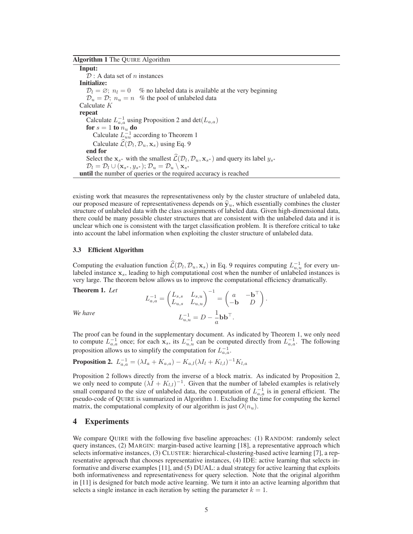## **Algorithm 1** The QUIRE Algorithm

**Input:**  $D: A$  data set of n instances **Initialize:**  $\mathcal{D}_l = \varnothing$ ;  $n_l = 0$  % no labeled data is available at the very beginning  $\mathcal{D}_u = \mathcal{D}$ ;  $n_u = n$  % the pool of unlabeled data Calculate K **repeat** Calculate  $L_{a,a}^{-1}$  using Proposition 2 and  $det(L_{a,a})$ **for**  $s = 1$  **to**  $n_u$  **do** Calculate  $\overline{L}_{uu}^{-1}$  according to Theorem 1 Calculate  $\mathcal{L}(\mathcal{D}_l, \mathcal{D}_u, \mathbf{x}_s)$  using Eq. 9 **end for** Select the  $\mathbf{x}_{s^*}$  with the smallest  $\mathcal{L}(\mathcal{D}_l, \mathcal{D}_u, \mathbf{x}_{s^*})$  and query its label  $y_{s^*}$  $\mathcal{D}_l = \mathcal{D}_l \cup (\mathbf{x}_{s^*}, y_{s^*}); \mathcal{D}_u = \mathcal{D}_u \setminus \mathbf{x}_{s^*}$ **until** the number of queries or the required accuracy is reached

existing work that measures the representativeness only by the cluster structure of unlabeled data, our proposed measure of representativeness depends on  $\hat{y}_u$ , which essentially combines the cluster structure of unlabeled data with the class assignments of labeled data. Given high-dimensional data, there could be many possible cluster structures that are consistent with the unlabeled data and it is unclear which one is consistent with the target classification problem. It is therefore critical to take into account the label information when exploiting the cluster structure of unlabeled data.

#### **3.3 Efficient Algorithm**

Computing the evaluation function  $\hat{\mathcal{L}}(\mathcal{D}_l, \mathcal{D}_u, \mathbf{x}_s)$  in Eq. 9 requires computing  $L_{u,u}^{-1}$  for every unlabeled instance  $x<sub>s</sub>$ , leading to high computational cost when the number of unlabeled instances is very large. The theorem below allows us to improve the computational efficiency dramatically.

**Theorem 1.** *Let*

**Theorem 1.** Let  
\n
$$
L_{a,a}^{-1} = \begin{pmatrix} L_{s,s} & L_{s,u} \\ L_{u,s} & L_{u,u} \end{pmatrix}^{-1} = \begin{pmatrix} a & -\mathbf{b}^{\top} \\ -\mathbf{b} & D \end{pmatrix}.
$$
\nWe have\n
$$
L_{u,u}^{-1} = D - \frac{1}{a} \mathbf{b} \mathbf{b}^{\top}.
$$

The proof can be found in the supplementary document. As indicated by Theorem 1, we only need to compute  $L_{a,a}^{-1}$  once; for each  $\mathbf{x}_s$ , its  $L_{u,u}^{-1}$  can be computed directly from  $L_{a,a}^{-1}$ . The following proposition allows us to simplify the computation for  $L_{a,a}^{-1}$ .

# **Proposition 2.**  $L_{a,a}^{-1} = (\lambda I_a + K_{a,a}) - K_{a,l}(\lambda I_l + K_{l,l})^{-1}K_{l,a}$

Proposition 2 follows directly from the inverse of a block matrix. As indicated by Proposition 2, we only need to compute  $(\lambda I + K_{l,l})^{-1}$ . Given that the number of labeled examples is relatively small compared to the size of unlabeled data, the computation of  $L_{a,a}^{-1}$  is in general efficient. The pseudo-code of QUIRE is summarized in Algorithm 1. Excluding the time for computing the kernel matrix, the computational complexity of our algorithm is just  $O(n_u)$ .

# **4 Experiments**

We compare QUIRE with the following five baseline approaches: (1) RANDOM: randomly select query instances, (2) MARGIN: margin-based active learning [18], a representative approach which selects informative instances, (3) CLUSTER: hierarchical-clustering-based active learning [7], a representative approach that chooses representative instances, (4) IDE: active learning that selects informative and diverse examples [11], and (5) DUAL: a dual strategy for active learning that exploits both informativeness and representativeness for query selection. Note that the original algorithm in [11] is designed for batch mode active learning. We turn it into an active learning algorithm that selects a single instance in each iteration by setting the parameter  $k = 1$ .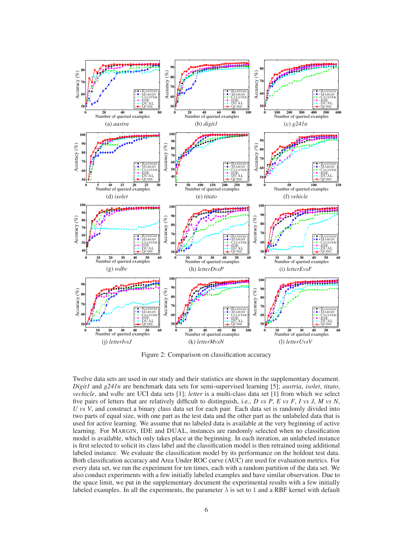

Figure 2: Comparison on classification accuracy

Twelve data sets are used in our study and their statistics are shown in the supplementary document. *Digit1* and *g241n* are benchmark data sets for semi-supervised learning [5]; *austria*, *isolet*, *titato*, *vechicle*, and *wdbc* are UCI data sets [1]; *letter* is a multi-class data set [1] from which we select five pairs of letters that are relatively difficult to distinguish, i.e., *D vs P*, *E vs F*, *I vs J*, *M vs N*, *U vs V*, and construct a binary class data set for each pair. Each data set is randomly divided into two parts of equal size, with one part as the test data and the other part as the unlabeled data that is used for active learning. We assume that no labeled data is available at the very beginning of active learning. For MARGIN, IDE and DUAL, instances are randomly selected when no classification model is available, which only takes place at the beginning. In each iteration, an unlabeled instance is first selected to solicit its class label and the classification model is then retrained using additional labeled instance. We evaluate the classification model by its performance on the holdout test data. Both classification accuracy and Area Under ROC curve (AUC) are used for evaluation metrics. For every data set, we run the experiment for ten times, each with a random partition of the data set. We also conduct experiments with a few initially labeled examples and have similar observation. Due to the space limit, we put in the supplementary document the experimental results with a few initially labeled examples. In all the experiments, the parameter  $\lambda$  is set to 1 and a RBF kernel with default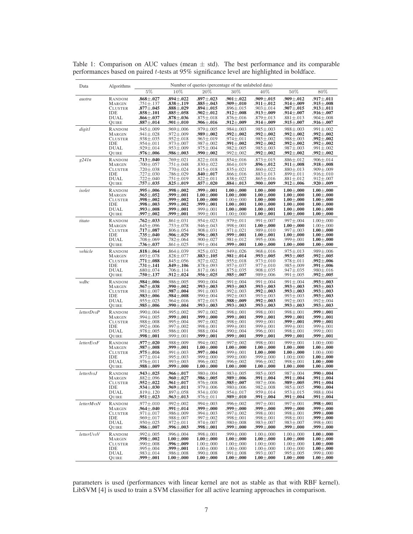| Data              | Algorithms     | Number of queries (percentage of the unlabeled data) |                   |                   |                   |                   |                   |                   |  |
|-------------------|----------------|------------------------------------------------------|-------------------|-------------------|-------------------|-------------------|-------------------|-------------------|--|
|                   |                | $5\%$                                                | 10%               | 20%               | 30%               | $40\%$            | 50%               | 80%               |  |
| austra            | RANDOM         | $.868 {\pm} .027$                                    | $.894 {\pm} .022$ | $.897 \pm .023$   | $.901 {\pm} .022$ | $.909 {\pm} .015$ | $.909 {\pm} .012$ | $.917 {\pm} .011$ |  |
|                   | <b>MARGIN</b>  | $.751 \pm .137$                                      | $.838{\pm}.119$   | $.885 {\pm} .043$ | $.909 {\pm} .010$ | $.911 {\pm} .012$ | $.914 {\pm} .009$ | $.915 {\pm} .008$ |  |
|                   | CLUSTER        | $.877 {\pm} .045$                                    | $.888 {\pm} .029$ | $.894 {\pm} .015$ | $.896 \pm .015$   | $.903 \pm .014$   | $.907 {\pm} .015$ | $.913 {\pm} .011$ |  |
|                   | IDE            | $.858 {\pm} .101$                                    | $.885 {\pm} .058$ | $.902 {\pm} .012$ | $.912 {\pm} .008$ | $.913 {\pm} .009$ | $.914 {\pm} .007$ | $.916 {\pm} .007$ |  |
|                   | DUAL           | $.866 {\pm} .037$                                    | $.878 {\pm} .036$ | $.875 \pm .018$   | $.876 \pm .016$   | $.879 \pm .013$   | $.881 \pm .013$   | $.904 \pm .008$   |  |
|                   | Quire          | $.887 {\pm} .014$                                    | $.901 {\pm} .010$ | $.906 {\pm} .016$ | $.912 {\pm} .009$ | $.914 {\pm} .009$ | $.915 {\pm} .007$ | $.916 {\pm} .007$ |  |
| digit1            | RANDOM         | .945±.009                                            | $.969 \pm .006$   | $.979 \pm .005$   | .984±.003         | $.985 \pm .003$   | $.988 \pm .003$   | $.991 \pm .002$   |  |
|                   | <b>MARGIN</b>  | $.941 {\pm} .028$                                    | $.972 \pm .009$   | $.989 {\pm} .002$ | $.992 \pm .002$   | $.992 {\pm} .002$ | $.992 {\pm} .002$ | $.992 {\pm} .002$ |  |
|                   | CLUSTER        | .938±.035                                            | .952±.018         | $.963 \pm .019$   | .974±.011         | $.985 \pm .002$   | $.988 \pm .003$   | $.992 {\pm} .002$ |  |
|                   | IDE            | .954±.011                                            | $.973 {\pm} .007$ | $.987 \pm .002$   | $.991 {\pm} .002$ | $.992 {\pm} .002$ | $.992 {\pm} .002$ | $.992 {\pm} .002$ |  |
|                   | DUAL           | $.929 \pm .014$                                      | $.953 \pm .009$   | $.975 \pm .004$   | $.982 \pm .005$   | $.985 \pm .003$   | $.987 \pm .003$   | $.991 \pm .002$   |  |
|                   | Quire          | $.976 {\pm} .006$                                    | $.986 {\pm} .003$ | .990 $\pm .002$   | $.992 \pm .002$   | $.992 {\pm} .002$ | $.992 {\pm} .002$ | $.992 {\pm} .002$ |  |
| g241n             | RANDOM         | $.713 {\pm} .040$                                    | $.769 \pm .021$   | $.822 \pm .018$   | $.854 \pm .016$   | $.873 \pm .015$   | $.886 {\pm} .012$ | $.906 \pm .014$   |  |
|                   | MARGIN         | $.700 \pm .057$                                      | $.751 \pm .048$   | $.830 \pm .022$   | $.864 \pm .019$   | $.896 {\pm} .012$ | $.911 {\pm} .008$ | $.918 {\pm} .008$ |  |
|                   | CLUSTER        | .720±.038                                            | .770 $\pm$ .024   | $.815 \pm .018$   | $.835 \pm .021$   | $.860 {\pm} .022$ | $.880 \pm .013$   | $.909 {\pm} .009$ |  |
|                   | IDE            | $.727 \pm .030$                                      | $.786 \pm .029$   | $.840 {\pm} .017$ | $.866 \pm .016$   | $.883 \pm .013$   | .899±.011         | $.916 {\pm} .010$ |  |
|                   | DUAL           | $.722 \pm .040$                                      | $.751 \pm .019$   | $.822 \pm .011$   | $.838 \pm .022$   | $.865 \pm .016$   | $.881 \pm .012$   | $.912 \pm .007$   |  |
|                   | Quire          | $.757 {\pm} .035$                                    | $.825 {\pm} .019$ | $.857 {\pm} .020$ | $.884 {\pm} .013$ | $.900 {\pm} .009$ | $.912 {\pm} .006$ | $.920 {\pm} .009$ |  |
| isolet            | RANDOM         | $.995 {\pm} .006$                                    | $.998 {\pm} .002$ | .999 $\pm .001$   | $1.00 \pm .000$   | $1.00 \pm .000$   | $1.00 \pm .000$   | $1.00 \pm .000$   |  |
|                   | <b>MARGIN</b>  | $.965 {\pm} .052$                                    | .999 $\pm .001$   | $1.00 + .000$     | $1.00 \pm .000$   | $1.00 \pm .000$   | $1.00 \pm .000$   | $1.00 \pm .000$   |  |
|                   | <b>CLUSTER</b> | $.998 {\pm} .002$                                    | $.999 {\pm} .002$ | $1.00 \pm .000$   | $1.00 \pm .000$   | $1.00 \pm .000$   | $1.00 \pm .000$   | $1.00 \pm .000$   |  |
|                   | IDE            | $.998 {\pm} .003$                                    | $.999 {\pm} .002$ | $.999 {\pm} .001$ | $1.00 \pm .001$   | $1.00 \pm .000$   | $1.00 \pm .000$   | $1.00 \pm .000$   |  |
|                   | DUAL           | $.993 {\pm} .008$                                    | .999 $\pm .001$   | $.999 \pm .001$   | $1.00 \pm .000$   | $1.00 \pm .001$   | $1.00 \pm .000$   | $1.00 \pm .000$   |  |
|                   | Quire          | $.997 {\pm} .002$                                    | .999 $\pm .001$   | $.999 \pm .001$   | $1.00 \pm .000$   | $1.00 \pm .001$   | $1.00 + .000$     | $1.00 \pm .000$   |  |
| titato            | RANDOM         | $.762 {\pm} .033$                                    | $.861 \pm .031$   | .954±.023         | $.979 \pm .011$   | $.991 \pm .007$   | $.997 \pm .004$   | $1.00 \pm .000$   |  |
|                   | <b>MARGIN</b>  | $.645 {\pm} .096$                                    | $.753 \pm .078$   | .946±.043         | $.998 \pm .001$   | $1.00 + .000$     | $1.00 \pm .000$   | $1.00 \pm .000$   |  |
|                   | CLUSTER        | $.717 {\pm} .087$                                    | $.806 \pm .054$   | .908±.031         | .971±.021         | .989±.010         | .997±.003         | $1.00 \pm .000$   |  |
|                   | <b>IDE</b>     | $.735 {\pm} .040$                                    | $.906 {\pm} .029$ | $.996 {\pm} .003$ | .999 $\pm$ .001   | $1.00 \pm .001$   | $1.00 \pm .000$   | $1.00 + .000$     |  |
|                   | DUAL           | $.708 \pm .069$                                      | $.782 {\pm} .064$ | $.900 {\pm} .027$ | $.981 \pm .012$   | .995±.006         | $.999 \pm .001$   | $1.00 + .000$     |  |
|                   | QUIRE          | $.736 {\pm} .037$                                    | $.861 \pm .025$   | .991±.004         | $.999 \pm .001$   | $1.00 \pm .000$   | $1.00 \pm .000$   | $1.00 \pm .000$   |  |
| vehicle           | RANDOM         | $.818 {\pm} .064$                                    | $.864 {\pm} .039$ | $.925 \pm .032$   | $.949 \pm .026$   | $.968 \pm .016$   | .975±.013         | .989±.006         |  |
|                   | <b>MARGIN</b>  | $.693 {\pm} .078$                                    | $.828 \pm .077$   | $.883 {\pm} .105$ | $.981 {\pm} .014$ | $.993 {\pm} .005$ | .993 $\pm.005$    | .992 $\pm .005$   |  |
|                   | <b>CLUSTER</b> | $.771 {\pm} .088$                                    | $.845 \pm .056$   | $.927 \pm .022$   | $.955 \pm .018$   | $.973 \pm .010$   | .978±.011         | .992 $\pm.006$    |  |
|                   | IDE            | $.731 {\pm} .141$                                    | $.849 {\pm} .106$ | $.878 \pm .093$   | $.957 + .037$     | $.977 + .010$     | $.985 \pm .009$   | .991 $\pm$ .006   |  |
|                   | DUAL           | $.680 \pm .074$                                      | $.706 \pm .114$   | $.817 \pm .061$   | $.875 \pm .035$   | $.908 {\pm} .035$ | $.947 \pm .035$   | $.980 {\pm} .016$ |  |
|                   | QUIRE          | $.750 {\pm} .137$                                    | $.912 {\pm} .024$ | $.956 {\pm} .025$ | $.985 {\pm} .007$ | .989±.006         | $.991 \pm .005$   | $.992 \pm .005$   |  |
| wdbc              | RANDOM         | $.984 {\pm} .006$                                    | .986±.005         | .990±.004         | .991±.004         | $.991 \pm .004$   | .991±.004         | $.993 {\pm} .003$ |  |
|                   | MARGIN         | $.967 {\pm} .038$                                    | .990 $\pm .002$   | $.993 {\pm} .003$ | .993 $\pm .003$   | .993 $\pm.003$    | .993 $\pm .003$   | $.993 {\pm} .003$ |  |
|                   | CLUSTER        | $.981 {\pm} .007$                                    | $.987 {\pm} .004$ | $.991 {\pm} .003$ | $.992 \pm .003$   | .992 $\pm.003$    | $.993 {\pm} .003$ | $.993 {\pm} .003$ |  |
|                   | IDE            | $.983 {\pm} .006$                                    | $.984 {\pm} .008$ | $.990 \pm .004$   | $.992 \pm .003$   | $.993 \pm .003$   | $.993 \pm .003$   | .993 $\pm$ .003   |  |
|                   | DUAL           | $.955 \pm .025$                                      | $.964 {\pm} .016$ | $.972 \pm .015$   | $.988 {\pm} .009$ | .992 $\pm.003$    | $.992 \pm .003$   | .992±.004         |  |
|                   | Quire          | $.985 {\pm} .006$                                    | .990 $\pm .004$   | $.993 {\pm} .003$ | $.993 {\pm} .003$ | $.993 {\pm} .003$ | $.993 {\pm} .003$ | $.993 {\pm} .003$ |  |
| <i>letterDvsP</i> | RANDOM         | .990±.004                                            | .995±.002         | $.997 \pm .002$   | $.998 \pm .001$   | $.998 \pm .001$   | $.998 \pm .001$   | $.999 {\pm} .001$ |  |
|                   | MARGIN         | .994±.005                                            | .999 $\pm .001$   | .999 $\pm.000$    | .999 $\pm .001$   | $.999 {\pm} .001$ | .999 $\pm .001$   | .999 $\pm .001$   |  |
|                   | <b>CLUSTER</b> | $.988 {\pm} .008$                                    | .995±.004         | .997±.002         | $.998 \pm .001$   | .999±.001         | .999 $\pm .001$   | .999 $\pm .001$   |  |
|                   | IDE            | $.992 \pm .006$                                      | .997±.002         | $.998 \pm .001$   | $.999 \pm .001$   | .999±.001         | $.999 \pm .001$   | .999±.001         |  |
|                   | DUAL           | .978±.005                                            | $.986 \pm .001$   | .988±.004         | .990±.004         | $.996 \pm .001$   | .998±.001         | .999±.001         |  |
|                   | QUIRE          | .998 $\pm .001$                                      | $.999 \pm .001$   | .999 $\pm .001$   | $.999 {\pm} .001$ | .999 $\pm .001$   | .999 $\pm .001$   | .999 $\pm .001$   |  |
| letterEvsF        | RANDOM         | $.977 {\pm} .020$                                    | $.988 \pm .009$   | $.994 \pm .002$   | .997±.002         | $.998 \pm .001$   | $.999 \pm .001$   | $1.00 \pm .000$   |  |
|                   | MARGIN         | $.987 {\pm} .008$                                    | .999 $\pm .001$   | $1.00 \pm .000$   | $1.00 \pm .000$   | $1.00 \pm .000$   | $1.00 \pm .000$   | $1.00 \pm .000$   |  |
|                   | <b>CLUSTER</b> | $.975 {\pm} .016$                                    | .991±.003         | $.997 \pm .004$   | $.999 \pm .001$   | $1.00 + .000$     | $1.00 + .000$     | $1.00 \pm .000$   |  |
|                   | IDE            | .977±.014                                            | $.995 \pm .003$   | $.999 \pm .000$   | $.999 \pm .000$   | .999±.000         | $1.00 \pm .000$   | $1.00 \pm .000$   |  |
|                   | DUAL           | .976±.011                                            | .993±.003         | .996±.002         | .996±.002         | .996±.002         | .998±.001         | $1.00 \pm .000$   |  |
|                   | Quire          | $.988 {\pm} .009$                                    | .999 $\pm .000$   | $1.00 \pm .000$   | $1.00 \pm .000$   | $1.00 \pm .000$   | $1.00 \pm .000$   | $1.00 \pm .000$   |  |
| letterIvsJ        | RANDOM         | $.943 {\pm} .025$                                    | $.966 {\pm} .017$ | $.980 \pm .004$   | $.983 \pm .005$   | $.985 \pm .005$   | $.987 + .004$     | $.990 {\pm} .004$ |  |
|                   | <b>MARGIN</b>  | $.882 {\pm} .096$                                    | $.960 {\pm} .027$ | $.986 {\pm} .005$ | .989 $\pm.006$    | .991 $\pm$ .004   | $.991 {\pm} .004$ | $.991 {\pm} .004$ |  |
|                   | <b>CLUSTER</b> | $.952 \pm .022$                                      | $.961 {\pm} .017$ | $.976 \pm .008$   | $.985 {\pm} .007$ | $.987 \pm .006$   | $.989 \pm .005$   | $.991 \pm .004$   |  |
|                   | IDE            | $.934 {\pm} .030$                                    | $.969 {\pm} .011$ | $.979 \pm .006$   | $.980 \pm .006$   | $.982 \pm .008$   | $.985 \pm .005$   | $.990 {\pm} .004$ |  |
|                   | <b>DUAL</b>    | $.819 \pm .120$                                      | $.897 \pm .058$   | .934±.030         | .954±.017         | .959±.014         | .953±.015         | .988±.004         |  |
|                   | QUIRE          | $.951 {\pm} .023$                                    | $.963 {\pm} .013$ | $.976 \pm .011$   | $.989 {\pm} .010$ | .991 $\pm$ .004   | $.991 {\pm} .004$ | $.991 {\pm} .004$ |  |
| letterMvsN        | RANDOM         | $.977 {\pm} .010$                                    | $.992 \pm .002$   | $.994 \pm .003$   | $.996 \pm .002$   | $.997 \pm .001$   | $.997 \pm .001$   | .998 $\pm .001$   |  |
|                   | <b>MARGIN</b>  | $.964 {\pm} .040$                                    | $.991 \pm .014$   | .999 $\pm.000$    | .999 $\pm .000$   | .999 $\pm .000$   | .999 $\pm .000$   | $.999 {\pm} .000$ |  |
|                   | <b>CLUSTER</b> | $.971 \pm .017$                                      | $.986 \pm .009$   | $.994 \pm .003$   | $.997 \pm .002$   | $.998 \pm .001$   | $.998 \pm .001$   | $.999 {\pm} .000$ |  |
|                   | IDE            | $.969 \pm .017$                                      | $.988 \pm .007$   | $.997 \pm .002$   | $.998 \pm .001$   | $.998 \pm .001$   | $.998 \pm .001$   | $.999 {\pm} .000$ |  |
|                   | DUAL           | $.950 \pm .025$                                      | $.972 \pm .011$   | .974±.007         | $.980 \pm .008$   | $.983 \pm .007$   | $.983 \pm .007$   | .998±.001         |  |
|                   | QUIRE          | $.986 {\pm} .007$                                    | $.996 {\pm} .003$ | $.998 {\pm} .001$ | $.999 {\pm} .000$ | .999 $\pm$ .000   | $.999 {\pm} .000$ | $.999 {\pm} .000$ |  |
| letterUvsV        | RANDOM         | $.992 \pm .005$                                      | $.996 \pm .004$   | $.998 \pm .001$   | $.999 \pm .000$   | $1.00 \pm .000$   | $1.00 \pm .000$   | $1.00 \pm .000$   |  |
|                   | <b>MARGIN</b>  | $.998 {\pm} .002$                                    | $1.00 \pm .000$   | $1.00 \pm .000$   | $1.00 \pm .000$   | $1.00 \pm .000$   | $1.00 \pm .000$   | $1.00 + .000$     |  |
|                   | <b>CLUSTER</b> | $.990 \pm .008$                                      | $.996 {\pm} .009$ | $1.00 \pm .000$   | $1.00 \pm .000$   | $1.00 \pm .000$   | $1.00 \pm .000$   | $1.00 \pm .000$   |  |
|                   | IDE            | $.995 \pm .004$                                      | .999 $\pm$ .001   | $1.00 \pm .000$   | $1.00 \pm .000$   | $1.00 + .000$     | $1.00 \pm .000$   | $1.00 \pm .000$   |  |
|                   | DUAL           | $.983 \pm .014$                                      | $.986 \pm .008$   | $.990 \pm .008$   | $.991 \pm .008$   | $.993 \pm .007$   | .995±.005         | $.999 \pm .000$   |  |
|                   | Quire          | $.999 \pm .001$                                      | $1.00 \pm .000$   | $1.00 \pm .000$   | $1.00 + .000$     | $1.00 \pm .000$   | $1.00 \pm .000$   | $1.00 \pm .000$   |  |

Table 1: Comparison on AUC values (mean  $\pm$  std). The best performance and its comparable performances based on paired t-tests at 95% significance level are highlighted in boldface.

parameters is used (performances with linear kernel are not as stable as that with RBF kernel). LibSVM [4] is used to train a SVM classifier for all active learning approaches in comparison.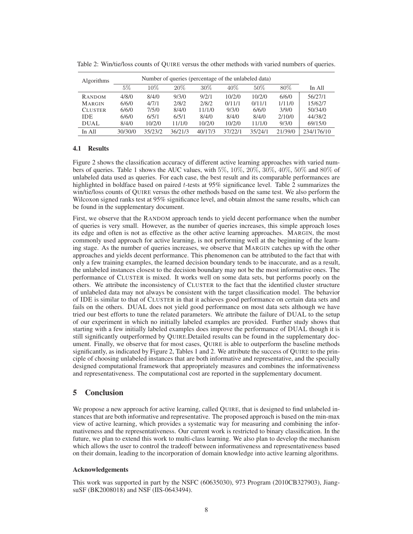| Algorithms     |         |         |         |         |         |         |         |            |
|----------------|---------|---------|---------|---------|---------|---------|---------|------------|
|                | $5\%$   | $10\%$  | 20%     | $30\%$  | $40\%$  | $50\%$  | $80\%$  | In All     |
| RANDOM         | 4/8/0   | 8/4/0   | 9/3/0   | 9/2/1   | 10/2/0  | 10/2/0  | 6/6/0   | 56/27/1    |
| <b>MARGIN</b>  | 6/6/0   | 4/7/1   | 2/8/2   | 2/8/2   | 0/11/1  | 0/11/1  | 1/11/0  | 15/62/7    |
| <b>CLUSTER</b> | 6/6/0   | 7/5/0   | 8/4/0   | 11/1/0  | 9/3/0   | 6/6/0   | 3/9/0   | 50/34/0    |
| <b>IDE</b>     | 6/6/0   | 6/5/1   | 6/5/1   | 8/4/0   | 8/4/0   | 8/4/0   | 2/10/0  | 44/38/2    |
| <b>DUAL</b>    | 8/4/0   | 10/2/0  | 11/1/0  | 10/2/0  | 10/2/0  | 11/1/0  | 9/3/0   | 69/15/0    |
| In All         | 30/30/0 | 35/23/2 | 36/21/3 | 40/17/3 | 37/22/1 | 35/24/1 | 21/39/0 | 234/176/10 |

Table 2: Win/tie/loss counts of QUIRE versus the other methods with varied numbers of queries.

# **4.1 Results**

Figure 2 shows the classification accuracy of different active learning approaches with varied numbers of queries. Table 1 shows the AUC values, with 5%, 10%, 20%, 30%, 40%, 50% and 80% of unlabeled data used as queries. For each case, the best result and its comparable performances are highlighted in boldface based on paired t-tests at 95% significance level. Table 2 summarizes the win/tie/loss counts of QUIRE versus the other methods based on the same test. We also perform the Wilcoxon signed ranks test at 95% significance level, and obtain almost the same results, which can be found in the supplementary document.

First, we observe that the RANDOM approach tends to yield decent performance when the number of queries is very small. However, as the number of queries increases, this simple approach loses its edge and often is not as effective as the other active learning approaches. MARGIN, the most commonly used approach for active learning, is not performing well at the beginning of the learning stage. As the number of queries increases, we observe that MARGIN catches up with the other approaches and yields decent performance. This phenomenon can be attributed to the fact that with only a few training examples, the learned decision boundary tends to be inaccurate, and as a result, the unlabeled instances closest to the decision boundary may not be the most informative ones. The performance of CLUSTER is mixed. It works well on some data sets, but performs poorly on the others. We attribute the inconsistency of CLUSTER to the fact that the identified cluster structure of unlabeled data may not always be consistent with the target classification model. The behavior of IDE is similar to that of CLUSTER in that it achieves good performance on certain data sets and fails on the others. DUAL does not yield good performance on most data sets although we have tried our best efforts to tune the related parameters. We attribute the failure of DUAL to the setup of our experiment in which no initially labeled examples are provided. Further study shows that starting with a few initially labeled examples does improve the performance of DUAL though it is still significantly outperformed by QUIRE.Detailed results can be found in the supplementary document. Finally, we observe that for most cases, QUIRE is able to outperform the baseline methods significantly, as indicated by Figure 2, Tables 1 and 2. We attribute the success of QUIRE to the principle of choosing unlabeled instances that are both informative and representative, and the specially designed computational framework that appropriately measures and combines the informativeness and representativeness. The computational cost are reported in the supplementary document.

# **5 Conclusion**

We propose a new approach for active learning, called OUIRE, that is designed to find unlabeled instances that are both informative and representative. The proposed approach is based on the min-max view of active learning, which provides a systematic way for measuring and combining the informativeness and the representativeness. Our current work is restricted to binary classification. In the future, we plan to extend this work to multi-class learning. We also plan to develop the mechanism which allows the user to control the tradeoff between informativeness and representativeness based on their domain, leading to the incorporation of domain knowledge into active learning algorithms.

#### **Acknowledgements**

This work was supported in part by the NSFC (60635030), 973 Program (2010CB327903), JiangsuSF (BK2008018) and NSF (IIS-0643494).